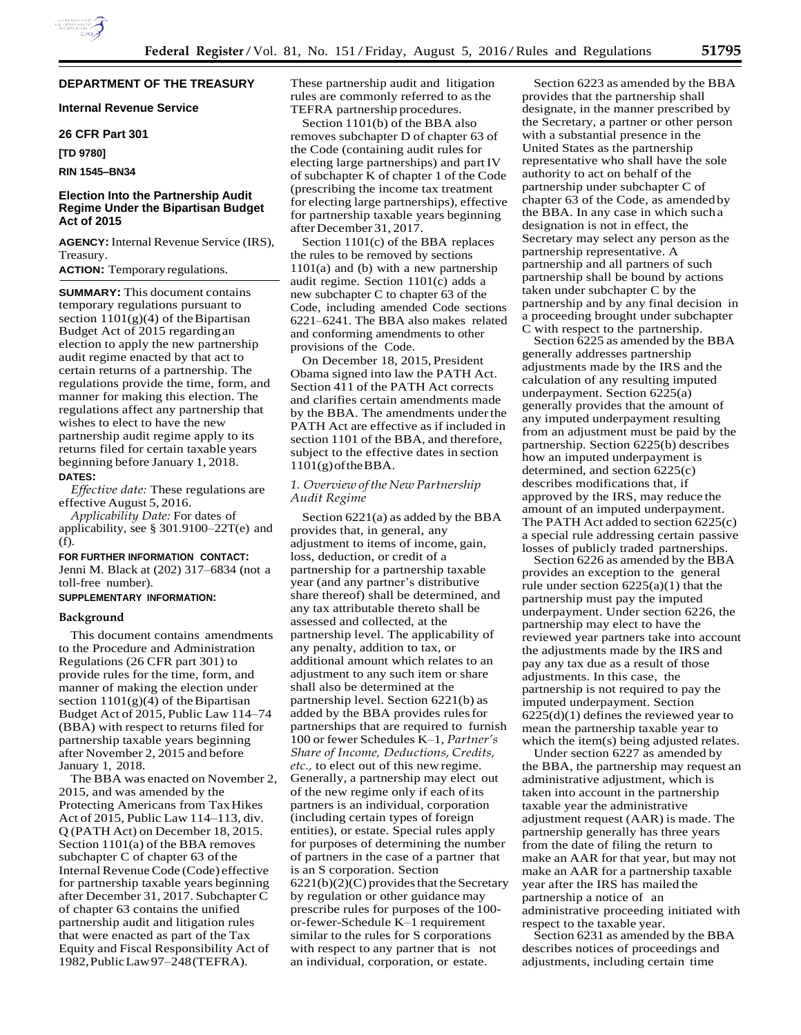# **DEPARTMENT OF THE TREASURY**

**Internal Revenue Service** 

### **26 CFR Part 301**

**[TD 9780]**

# **RIN 1545–BN34**

# **Election Into the Partnership Audit Regime Under the Bipartisan Budget Act of 2015**

**AGENCY:** Internal Revenue Service (IRS), Treasury.

# **ACTION:** Temporary regulations.

**SUMMARY:** This document contains temporary regulations pursuant to section  $1101(g)(4)$  of the Bipartisan Budget Act of 2015 regardingan election to apply the new partnership audit regime enacted by that act to certain returns of a partnership. The regulations provide the time, form, and manner for making this election. The regulations affect any partnership that wishes to elect to have the new partnership audit regime apply to its returns filed for certain taxable years beginning before January 1, 2018. **DATES:**

*Effective date:* These regulations are effective August 5, 2016.

*Applicability Date:* For dates of applicability, see § 301.9100–22T(e) and (f).

### **FOR FURTHER INFORMATION CONTACT:**

Jenni M. Black at (202) 317–6834 (not a toll-free number).

## **SUPPLEMENTARY INFORMATION:**

# **Background**

This document contains amendments to the Procedure and Administration Regulations (26 CFR part 301) to provide rules for the time, form, and manner of making the election under section  $1101(g)(4)$  of the Bipartisan Budget Act of 2015, Public Law 114–74 (BBA) with respect to returns filed for partnership taxable years beginning after November 2, 2015 and before January 1, 2018.

The BBA was enacted on November 2, 2015, and was amended by the Protecting Americans from Tax Hikes Act of 2015, Public Law 114–113, div. Q (PATH Act) on December 18, 2015. Section 1101(a) of the BBA removes subchapter  $C$  of chapter 63 of the Internal Revenue Code (Code) effective for partnership taxable years beginning after December 31, 2017. Subchapter C of chapter 63 contains the unified partnership audit and litigation rules that were enacted as part of the Tax Equity and Fiscal Responsibility Act of 1982,PublicLaw97–248(TEFRA).

These partnership audit and litigation rules are commonly referred to asthe TEFRA partnership procedures.

Section 1101(b) of the BBA also removes subchapter D of chapter 63 of the Code (containing audit rules for electing large partnerships) and partIV of subchapter K of chapter 1 of the Code (prescribing the income tax treatment for electing large partnerships), effective for partnership taxable years beginning afterDecember 31, 2017.

Section 1101(c) of the BBA replaces the rules to be removed by sections 1101(a) and (b) with a new partnership audit regime. Section 1101(c) adds a new subchapter C to chapter 63 of the Code, including amended Code sections 6221–6241. The BBA also makes related and conforming amendments to other provisions of the Code.

On December 18, 2015, President Obama signed into law the PATH Act. Section 411 of the PATH Act corrects and clarifies certain amendments made by the BBA. The amendments under the PATH Act are effective as if included in section 1101 of the BBA, and therefore, subject to the effective dates in section  $1101(g)$  of the BBA.

### *1. Overview oftheNew Partnership Audit Regime*

Section 6221(a) as added by the BBA provides that, in general, any adjustment to items of income, gain, loss, deduction, or credit of a partnership for a partnership taxable year (and any partner's distributive share thereof) shall be determined, and any tax attributable thereto shall be assessed and collected, at the partnership level. The applicability of any penalty, addition to tax, or additional amount which relates to an adjustment to any such item or share shall also be determined at the partnership level. Section 6221(b) as added by the BBA provides rulesfor partnerships that are required to furnish 100 or fewer Schedules K–1, *Partner's Share of Income, Deductions, Credits, etc.,* to elect out of this newregime. Generally, a partnership may elect out of the new regime only if each ofits partners is an individual, corporation (including certain types of foreign entities), or estate. Special rules apply for purposes of determining the number of partners in the case of a partner that is an S corporation. Section  $6221(b)(2)(C)$  provides that the Secretary by regulation or other guidance may prescribe rules for purposes of the 100 or-fewer-Schedule K–1 requirement similar to the rules for S corporations with respect to any partner that is not an individual, corporation, or estate.

Section 6223 as amended by the BBA provides that the partnership shall designate, in the manner prescribed by the Secretary, a partner or other person with a substantial presence in the United States as the partnership representative who shall have the sole authority to act on behalf of the partnership under subchapter C of chapter 63 of the Code, as amended by the BBA. In any case in which sucha designation is not in effect, the Secretary may select any person asthe partnership representative. A partnership and all partners of such partnership shall be bound by actions taken under subchapter C by the partnership and by any final decision in a proceeding brought under subchapter C with respect to the partnership.

Section 6225 as amended by the BBA generally addresses partnership adjustments made by the IRS and the calculation of any resulting imputed underpayment. Section 6225(a) generally provides that the amount of any imputed underpayment resulting from an adjustment must be paid by the partnership. Section 6225(b) describes how an imputed underpayment is determined, and section 6225(c) describes modifications that, if approved by the IRS, may reduce the amount of an imputed underpayment. The PATH Act added to section 6225(c) a special rule addressing certain passive losses of publicly traded partnerships.

Section 6226 as amended by the BBA provides an exception to the general rule under section  $6225(a)(1)$  that the partnership must pay the imputed underpayment. Under section 6226, the partnership may elect to have the reviewed year partners take into account the adjustments made by the IRS and pay any tax due as a result of those adjustments. In this case, the partnership is not required to pay the imputed underpayment. Section  $6225(d)(1)$  defines the reviewed year to mean the partnership taxable year to which the item(s) being adjusted relates.

Under section 6227 as amended by the BBA, the partnership may request an administrative adjustment, which is taken into account in the partnership taxable year the administrative adjustment request (AAR) is made. The partnership generally has three years from the date of filing the return to make an AAR for that year, but may not make an AAR for a partnership taxable year after the IRS has mailed the partnership a notice of an administrative proceeding initiated with respect to the taxable year.

Section 6231 as amended by the BBA describes notices of proceedings and adjustments, including certain time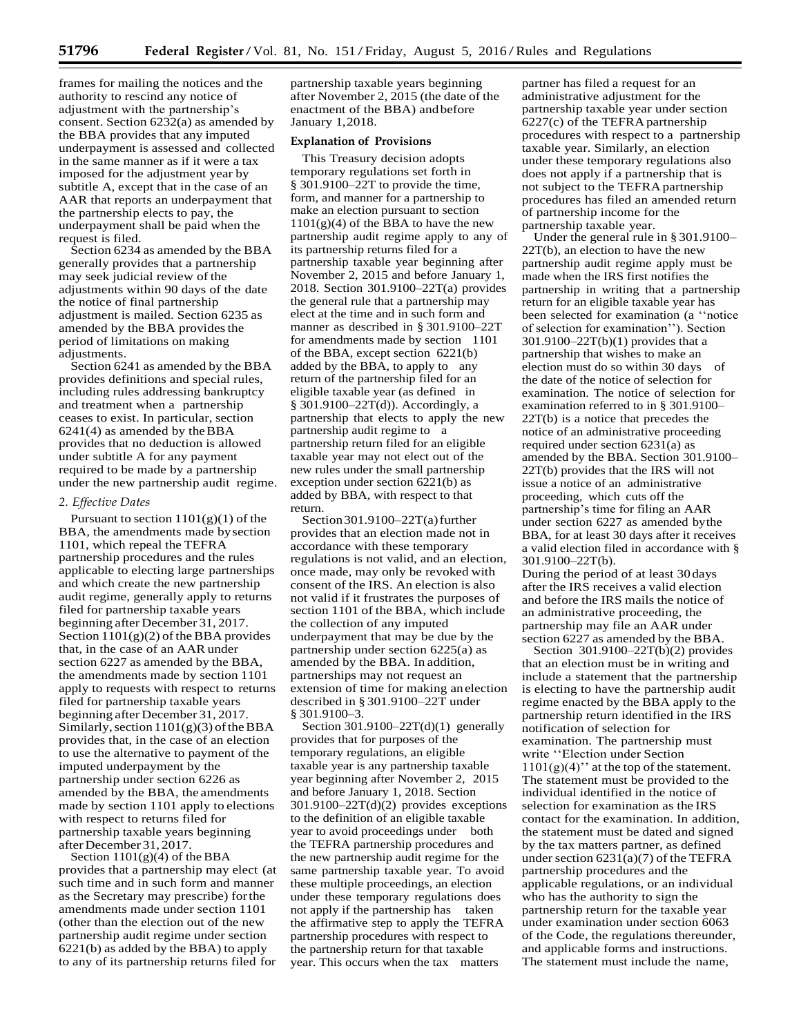frames for mailing the notices and the authority to rescind any notice of adjustment with the partnership's consent. Section 6232(a) as amended by the BBA provides that any imputed underpayment is assessed and collected in the same manner as if it were a tax imposed for the adjustment year by subtitle A, except that in the case of an AAR that reports an underpayment that the partnership elects to pay, the underpayment shall be paid when the request is filed.

Section 6234 as amended by the BBA generally provides that a partnership may seek judicial review of the adjustments within 90 days of the date the notice of final partnership adjustment is mailed. Section 6235 as amended by the BBA provides the period of limitations on making adjustments.

Section 6241 as amended by the BBA provides definitions and special rules, including rules addressing bankruptcy and treatment when a partnership ceases to exist. In particular, section 6241(4) as amended by theBBA provides that no deduction is allowed under subtitle A for any payment required to be made by a partnership under the new partnership audit regime.

#### *2. Effective Dates*

Pursuant to section  $1101(g)(1)$  of the BBA, the amendments made bysection 1101, which repeal the TEFRA partnership procedures and the rules applicable to electing large partnerships and which create the new partnership audit regime, generally apply to returns filed for partnership taxable years beginning after December 31, 2017. Section  $1101(g)(2)$  of the BBA provides that, in the case of an AAR under section 6227 as amended by the BBA, the amendments made by section 1101 apply to requests with respect to returns filed for partnership taxable years beginning after December 31, 2017. Similarly, section  $1101(g)(3)$  of the BBA provides that, in the case of an election to use the alternative to payment of the imputed underpayment by the partnership under section 6226 as amended by the BBA, the amendments made by section 1101 apply to elections with respect to returns filed for partnership taxable years beginning afterDecember 31, 2017.

Section 1101(g)(4) of the BBA provides that a partnership may elect (at such time and in such form and manner as the Secretary may prescribe) forthe amendments made under section 1101 (other than the election out of the new partnership audit regime under section 6221(b) as added by the BBA) to apply to any of its partnership returns filed for

partnership taxable years beginning after November 2, 2015 (the date of the enactment of the BBA) andbefore January 1,2018.

## **Explanation of Provisions**

This Treasury decision adopts temporary regulations set forth in § 301.9100–22T to provide the time, form, and manner for a partnership to make an election pursuant to section  $1101(g)(4)$  of the BBA to have the new partnership audit regime apply to any of its partnership returns filed for a partnership taxable year beginning after November 2, 2015 and before January 1, 2018. Section 301.9100–22T(a) provides the general rule that a partnership may elect at the time and in such form and manner as described in § 301.9100–22T for amendments made by section 1101 of the BBA, except section 6221(b) added by the BBA, to apply to any return of the partnership filed for an eligible taxable year (as defined in § 301.9100–22T(d)). Accordingly, a partnership that elects to apply the new partnership audit regime to a partnership return filed for an eligible taxable year may not elect out of the new rules under the small partnership exception under section 6221(b) as added by BBA, with respect to that return.

Section 301.9100–22 $T(a)$  further provides that an election made not in accordance with these temporary regulations is not valid, and an election, once made, may only be revoked with consent of the IRS. An election is also not valid if it frustrates the purposes of section 1101 of the BBA, which include the collection of any imputed underpayment that may be due by the partnership under section 6225(a) as amended by the BBA. In addition, partnerships may not request an extension of time for making anelection described in § 301.9100–22T under § 301.9100–3.

Section 301.9100–22 $T(d)(1)$  generally provides that for purposes of the temporary regulations, an eligible taxable year is any partnership taxable year beginning after November 2, 2015 and before January 1, 2018. Section 301.9100–22T(d)(2) provides exceptions to the definition of an eligible taxable year to avoid proceedings under both the TEFRA partnership procedures and the new partnership audit regime for the same partnership taxable year. To avoid these multiple proceedings, an election under these temporary regulations does not apply if the partnership has taken the affirmative step to apply the TEFRA partnership procedures with respect to the partnership return for that taxable year. This occurs when the tax matters

partner has filed a request for an administrative adjustment for the partnership taxable year under section  $6227(c)$  of the TEFRA partnership procedures with respect to a partnership taxable year. Similarly, an election under these temporary regulations also does not apply if a partnership that is not subject to the TEFRA partnership procedures has filed an amended return of partnership income for the partnership taxable year.

Under the general rule in § 301.9100– 22T(b), an election to have the new partnership audit regime apply must be made when the IRS first notifies the partnership in writing that a partnership return for an eligible taxable year has been selected for examination (a ''notice of selection for examination''). Section  $301.9100 - 22T(b)(1)$  provides that a partnership that wishes to make an election must do so within 30 days of the date of the notice of selection for examination. The notice of selection for examination referred to in § 301.9100– 22T(b) is a notice that precedes the notice of an administrative proceeding required under section 6231(a) as amended by the BBA. Section 301.9100– 22T(b) provides that the IRS will not issue a notice of an administrative proceeding, which cuts off the partnership's time for filing an AAR under section 6227 as amended bythe BBA, for at least 30 days after it receives a valid election filed in accordance with § 301.9100–22T(b).

During the period of at least 30days after the IRS receives a valid election and before the IRS mails the notice of an administrative proceeding, the partnership may file an AAR under section 6227 as amended by the BBA.

Section 301.9100–22T(b)(2) provides that an election must be in writing and include a statement that the partnership is electing to have the partnership audit regime enacted by the BBA apply to the partnership return identified in the IRS notification of selection for examination. The partnership must write ''Election under Section  $1101(g)(4)$ " at the top of the statement. The statement must be provided to the individual identified in the notice of selection for examination as the IRS contact for the examination. In addition, the statement must be dated and signed by the tax matters partner, as defined under section 6231(a)(7) of the TEFRA partnership procedures and the applicable regulations, or an individual who has the authority to sign the partnership return for the taxable year under examination under section 6063 of the Code, the regulations thereunder, and applicable forms and instructions. The statement must include the name,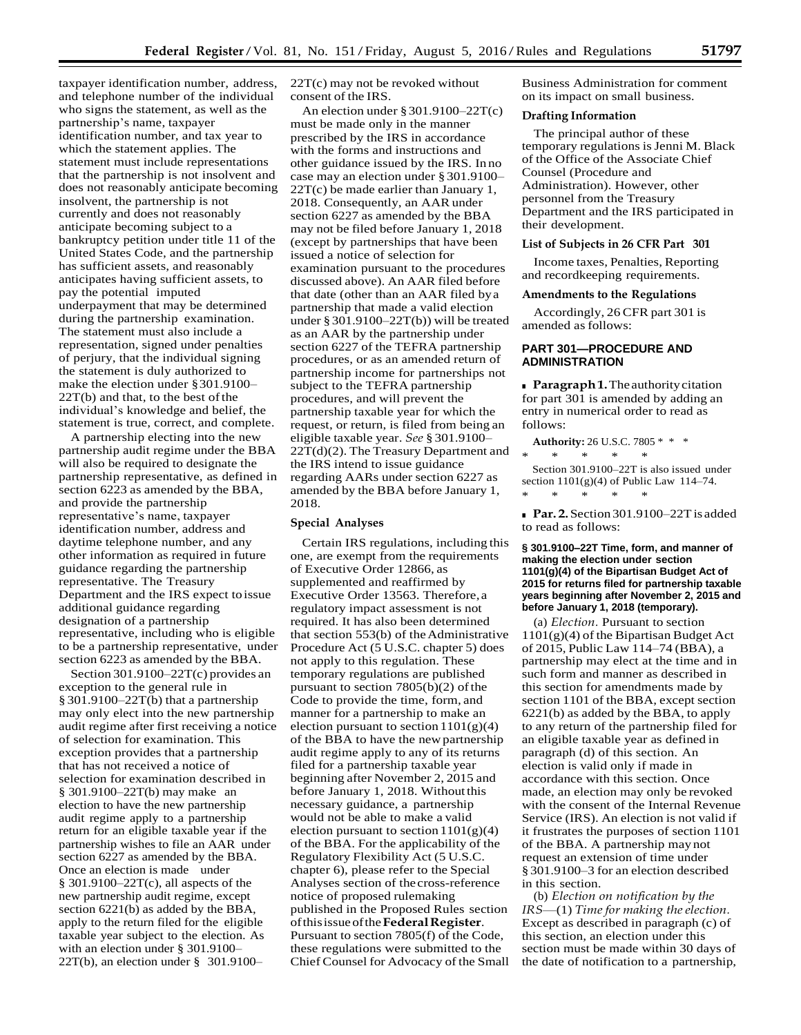taxpayer identification number, address, and telephone number of the individual who signs the statement, as well as the partnership's name, taxpayer identification number, and tax year to which the statement applies. The statement must include representations that the partnership is not insolvent and does not reasonably anticipate becoming insolvent, the partnership is not currently and does not reasonably anticipate becoming subject to a bankruptcy petition under title 11 of the United States Code, and the partnership has sufficient assets, and reasonably anticipates having sufficient assets, to pay the potential imputed underpayment that may be determined during the partnership examination. The statement must also include a representation, signed under penalties of perjury, that the individual signing the statement is duly authorized to make the election under §301.9100–  $22T(b)$  and that, to the best of the individual's knowledge and belief, the statement is true, correct, and complete.

A partnership electing into the new partnership audit regime under the BBA will also be required to designate the partnership representative, as defined in section 6223 as amended by the BBA, and provide the partnership representative's name, taxpayer identification number, address and daytime telephone number, and any other information as required in future guidance regarding the partnership representative. The Treasury Department and the IRS expect toissue additional guidance regarding designation of a partnership representative, including who is eligible to be a partnership representative, under section 6223 as amended by the BBA.

Section 301.9100–22T(c) provides an exception to the general rule in § 301.9100–22T(b) that a partnership may only elect into the new partnership audit regime after first receiving a notice of selection for examination. This exception provides that a partnership that has not received a notice of selection for examination described in § 301.9100–22T(b) may make an election to have the new partnership audit regime apply to a partnership return for an eligible taxable year if the partnership wishes to file an AAR under section 6227 as amended by the BBA. Once an election is made under § 301.9100–22T(c), all aspects of the new partnership audit regime, except section 6221(b) as added by the BBA, apply to the return filed for the eligible taxable year subject to the election. As with an election under § 301.9100– 22T(b), an election under § 301.9100–

22T(c) may not be revoked without consent of the IRS.

An election under §301.9100–22T(c) must be made only in the manner prescribed by the IRS in accordance with the forms and instructions and other guidance issued by the IRS. In no case may an election under § 301.9100– 22T(c) be made earlier than January 1, 2018. Consequently, an AAR under section 6227 as amended by the BBA may not be filed before January 1, 2018 (except by partnerships that have been issued a notice of selection for examination pursuant to the procedures discussed above). An AAR filed before that date (other than an AAR filed bya partnership that made a valid election under §301.9100–22T(b)) will be treated as an AAR by the partnership under section 6227 of the TEFRA partnership procedures, or as an amended return of partnership income for partnerships not subject to the TEFRA partnership procedures, and will prevent the partnership taxable year for which the request, or return, is filed from being an eligible taxable year. *See* § 301.9100– 22T(d)(2). The Treasury Department and the IRS intend to issue guidance regarding AARs under section 6227 as amended by the BBA before January 1, 2018.

#### **Special Analyses**

Certain IRS regulations, including this one, are exempt from the requirements of Executive Order 12866, as supplemented and reaffirmed by Executive Order 13563. Therefore, a regulatory impact assessment is not required. It has also been determined that section  $553(b)$  of the Administrative Procedure Act (5 U.S.C. chapter 5) does not apply to this regulation. These temporary regulations are published pursuant to section  $7805(b)(2)$  of the Code to provide the time, form, and manner for a partnership to make an election pursuant to section  $1101(g)(4)$ of the BBA to have the newpartnership audit regime apply to any of its returns filed for a partnership taxable year beginning after November 2, 2015 and before January 1, 2018. Without this necessary guidance, a partnership would not be able to make a valid election pursuant to section  $1101(g)(4)$ of the BBA. For the applicability of the Regulatory Flexibility Act (5 U.S.C. chapter 6), please refer to the Special Analyses section of the cross-reference notice of proposed rulemaking published in the Proposed Rules section ofthisissueofthe**FederalRegister**. Pursuant to section 7805(f) of the Code, these regulations were submitted to the Chief Counsel for Advocacy of the Small Business Administration for comment on its impact on small business.

#### **Drafting Information**

The principal author of these temporary regulations is Jenni M. Black of the Office of the Associate Chief Counsel (Procedure and Administration). However, other personnel from the Treasury Department and the IRS participated in their development.

## **List of Subjects in 26 CFR Part 301**

Income taxes, Penalties, Reporting and recordkeeping requirements.

#### **Amendments to the Regulations**

Accordingly, 26 CFR part 301 is amended as follows:

# **PART 301—PROCEDURE AND ADMINISTRATION**

**Paragraph 1.** The authority citation for part 301 is amended by adding an entry in numerical order to read as follows:

**Authority:** 26 U.S.C. 7805 \* \* \* \* \* \* \* \* Section 301.9100–22T is also issued under section  $1101(g)(4)$  of Public Law  $114-74$ .

\* \* \* \* \* ■ **Par. 2.**Section 301.9100–22Tis added

to read as follows:

### **§ 301.9100–22T Time, form, and manner of making the election under section 1101(g)(4) of the Bipartisan Budget Act of 2015 for returns filed for partnership taxable years beginning after November 2, 2015 and before January 1, 2018 (temporary).**

(a) *Election.* Pursuant to section 1101(g)(4) of the Bipartisan Budget Act of 2015, Public Law 114–74 (BBA), a partnership may elect at the time and in such form and manner as described in this section for amendments made by section 1101 of the BBA, except section 6221(b) as added by the BBA, to apply to any return of the partnership filed for an eligible taxable year as defined in paragraph (d) of this section. An election is valid only if made in accordance with this section. Once made, an election may only be revoked with the consent of the Internal Revenue Service (IRS). An election is not valid if it frustrates the purposes of section 1101 of the BBA. A partnership may not request an extension of time under § 301.9100–3 for an election described in this section.

(b) *Election on notification by the IRS*—(1) *Timefor making the election.* Except as described in paragraph (c) of this section, an election under this section must be made within 30 days of the date of notification to a partnership,